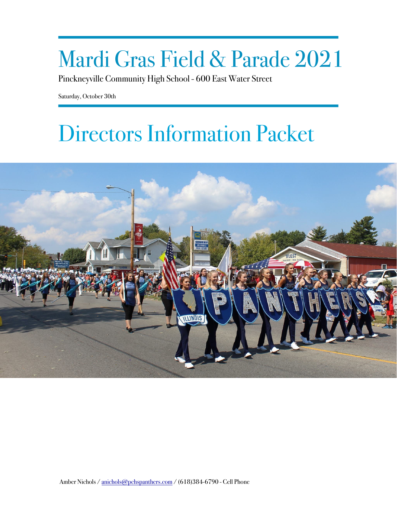# Mardi Gras Field & Parade 2021

Pinckneyville Community High School - 600 East Water Street

Saturday, October 30th

# Directors Information Packet

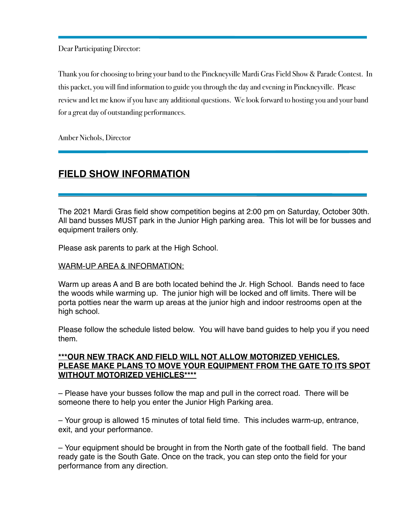Dear Participating Director:

Thank you for choosing to bring your band to the Pinckneyville Mardi Gras Field Show & Parade Contest. In this packet, you will find information to guide you through the day and evening in Pinckneyville. Please review and let me know if you have any additional questions. We look forward to hosting you and your band for a great day of outstanding performances.

Amber Nichols, Director

# **FIELD SHOW INFORMATION**

The 2021 Mardi Gras field show competition begins at 2:00 pm on Saturday, October 30th. All band busses MUST park in the Junior High parking area. This lot will be for busses and equipment trailers only.

Please ask parents to park at the High School.

## WARM-UP AREA & INFORMATION:

Warm up areas A and B are both located behind the Jr. High School. Bands need to face the woods while warming up. The junior high will be locked and off limits. There will be porta potties near the warm up areas at the junior high and indoor restrooms open at the high school.

Please follow the schedule listed below. You will have band guides to help you if you need them.

## **\*\*\*OUR NEW TRACK AND FIELD WILL NOT ALLOW MOTORIZED VEHICLES. PLEASE MAKE PLANS TO MOVE YOUR EQUIPMENT FROM THE GATE TO ITS SPOT WITHOUT MOTORIZED VEHICLES\*\*\*\***

– Please have your busses follow the map and pull in the correct road. There will be someone there to help you enter the Junior High Parking area.

– Your group is allowed 15 minutes of total field time. This includes warm-up, entrance, exit, and your performance.

– Your equipment should be brought in from the North gate of the football field. The band ready gate is the South Gate. Once on the track, you can step onto the field for your performance from any direction.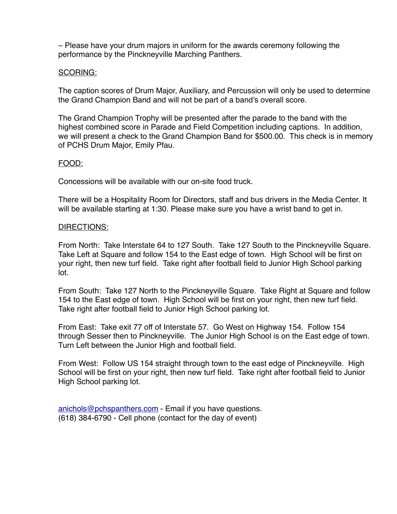– Please have your drum majors in uniform for the awards ceremony following the performance by the Pinckneyville Marching Panthers.

## SCORING:

The caption scores of Drum Major, Auxiliary, and Percussion will only be used to determine the Grand Champion Band and will not be part of a band's overall score.

The Grand Champion Trophy will be presented after the parade to the band with the highest combined score in Parade and Field Competition including captions. In addition, we will present a check to the Grand Champion Band for \$500.00. This check is in memory of PCHS Drum Major, Emily Pfau.

## FOOD:

Concessions will be available with our on-site food truck.

There will be a Hospitality Room for Directors, staff and bus drivers in the Media Center. It will be available starting at 1:30. Please make sure you have a wrist band to get in.

## DIRECTIONS:

From North: Take Interstate 64 to 127 South. Take 127 South to the Pinckneyville Square. Take Left at Square and follow 154 to the East edge of town. High School will be first on your right, then new turf field. Take right after football field to Junior High School parking lot.

From South: Take 127 North to the Pinckneyville Square. Take Right at Square and follow 154 to the East edge of town. High School will be first on your right, then new turf field. Take right after football field to Junior High School parking lot.

From East: Take exit 77 off of Interstate 57. Go West on Highway 154. Follow 154 through Sesser then to Pinckneyville. The Junior High School is on the East edge of town. Turn Left between the Junior High and football field.

From West: Follow US 154 straight through town to the east edge of Pinckneyville. High School will be first on your right, then new turf field. Take right after football field to Junior High School parking lot.

[anichols@pchspanthers.com](mailto:anichols@pchspanthers.com) - Email if you have questions. (618) 384-6790 - Cell phone (contact for the day of event)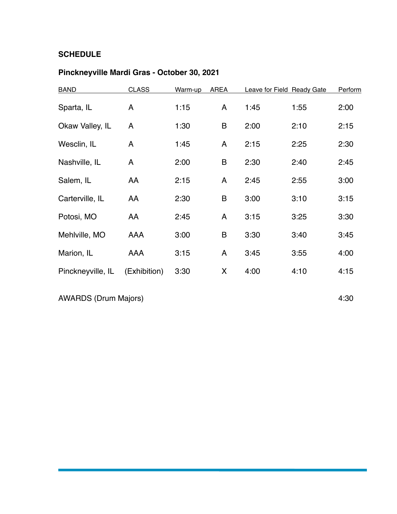## **SCHEDULE**

## **Pinckneyville Mardi Gras - October 30, 2021**

| <b>BAND</b>       | <b>CLASS</b> | Warm-up | <b>AREA</b> |      | Leave for Field Ready Gate | Perform |
|-------------------|--------------|---------|-------------|------|----------------------------|---------|
| Sparta, IL        | A            | 1:15    | A           | 1:45 | 1:55                       | 2:00    |
| Okaw Valley, IL   | A            | 1:30    | B           | 2:00 | 2:10                       | 2:15    |
| Wesclin, IL       | A            | 1:45    | A           | 2:15 | 2:25                       | 2:30    |
| Nashville, IL     | A            | 2:00    | B           | 2:30 | 2:40                       | 2:45    |
| Salem, IL         | AA           | 2:15    | A           | 2:45 | 2:55                       | 3:00    |
| Carterville, IL   | AA           | 2:30    | B           | 3:00 | 3:10                       | 3:15    |
| Potosi, MO        | AA           | 2:45    | A           | 3:15 | 3:25                       | 3:30    |
| Mehlville, MO     | AAA          | 3:00    | B           | 3:30 | 3:40                       | 3:45    |
| Marion, IL        | AAA          | 3:15    | A           | 3:45 | 3:55                       | 4:00    |
| Pinckneyville, IL | (Exhibition) | 3:30    | X           | 4:00 | 4:10                       | 4:15    |
|                   |              |         |             |      |                            |         |

AWARDS (Drum Majors) 4:30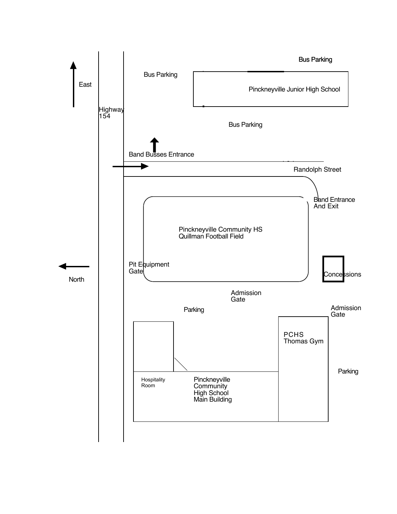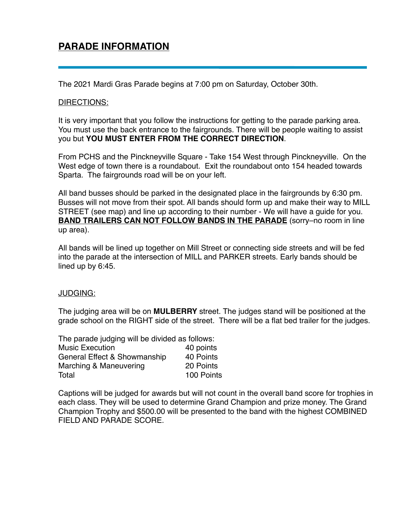# **PARADE INFORMATION**

The 2021 Mardi Gras Parade begins at 7:00 pm on Saturday, October 30th.

#### DIRECTIONS:

It is very important that you follow the instructions for getting to the parade parking area. You must use the back entrance to the fairgrounds. There will be people waiting to assist you but **YOU MUST ENTER FROM THE CORRECT DIRECTION**.

From PCHS and the Pinckneyville Square - Take 154 West through Pinckneyville. On the West edge of town there is a roundabout. Exit the roundabout onto 154 headed towards Sparta. The fairgrounds road will be on your left.

All band busses should be parked in the designated place in the fairgrounds by 6:30 pm. Busses will not move from their spot. All bands should form up and make their way to MILL STREET (see map) and line up according to their number - We will have a guide for you. **BAND TRAILERS CAN NOT FOLLOW BANDS IN THE PARADE** (sorry–no room in line up area).

All bands will be lined up together on Mill Street or connecting side streets and will be fed into the parade at the intersection of MILL and PARKER streets. Early bands should be lined up by 6:45.

#### JUDGING:

The judging area will be on **MULBERRY** street. The judges stand will be positioned at the grade school on the RIGHT side of the street. There will be a flat bed trailer for the judges.

| The parade judging will be divided as follows: |            |
|------------------------------------------------|------------|
| <b>Music Execution</b>                         | 40 points  |
| General Effect & Showmanship                   | 40 Points  |
| Marching & Maneuvering                         | 20 Points  |
| Total                                          | 100 Points |

Captions will be judged for awards but will not count in the overall band score for trophies in each class. They will be used to determine Grand Champion and prize money. The Grand Champion Trophy and \$500.00 will be presented to the band with the highest COMBINED FIELD AND PARADE SCORE.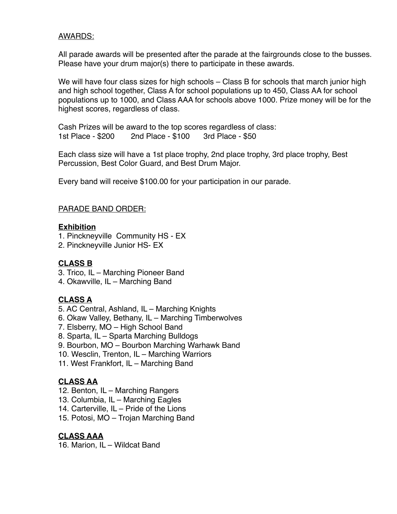## AWARDS:

All parade awards will be presented after the parade at the fairgrounds close to the busses. Please have your drum major(s) there to participate in these awards.

We will have four class sizes for high schools – Class B for schools that march junior high and high school together, Class A for school populations up to 450, Class AA for school populations up to 1000, and Class AAA for schools above 1000. Prize money will be for the highest scores, regardless of class.

Cash Prizes will be award to the top scores regardless of class: 1st Place - \$200 2nd Place - \$100 3rd Place - \$50

Each class size will have a 1st place trophy, 2nd place trophy, 3rd place trophy, Best Percussion, Best Color Guard, and Best Drum Major.

Every band will receive \$100.00 for your participation in our parade.

## PARADE BAND ORDER:

## **Exhibition**

- 1. Pinckneyville Community HS EX
- 2. Pinckneyville Junior HS- EX

## **CLASS B**

- 3. Trico, IL Marching Pioneer Band
- 4. Okawville, IL Marching Band

## **CLASS A**

- 5. AC Central, Ashland, IL Marching Knights
- 6. Okaw Valley, Bethany, IL Marching Timberwolves
- 7. Elsberry, MO High School Band
- 8. Sparta, IL Sparta Marching Bulldogs
- 9. Bourbon, MO Bourbon Marching Warhawk Band
- 10. Wesclin, Trenton, IL Marching Warriors
- 11. West Frankfort, IL Marching Band

## **CLASS AA**

- 12. Benton, IL Marching Rangers
- 13. Columbia, IL Marching Eagles
- 14. Carterville, IL Pride of the Lions
- 15. Potosi, MO Trojan Marching Band

## **CLASS AAA**

16. Marion, IL – Wildcat Band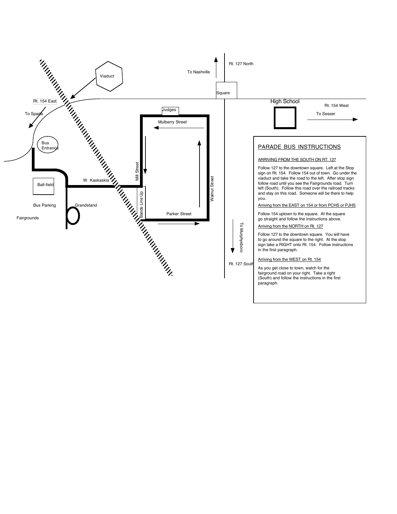